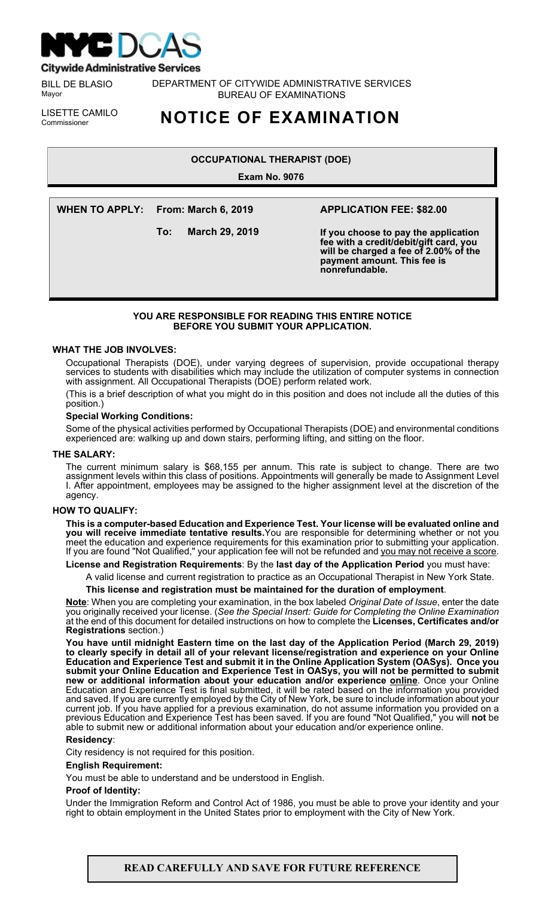

**Citywide Administrative Services** 

BILL DE BLASIO Mayor

DEPARTMENT OF CITYWIDE ADMINISTRATIVE SERVICES BUREAU OF EXAMINATIONS

LISETTE CAMILO<br>Commissioner

# Commissioner **NOTICE OF EXAMINATION**

# **OCCUPATIONAL THERAPIST (DOE)**

**Exam No. 9076**

**WHEN TO APPLY: From: March 6, 2019**

**To: March 29, 2019**

# **APPLICATION FEE: \$82.00**

**If you choose to pay the application fee with a credit/debit/gift card, you will be charged a fee of 2.00% of the payment amount. This fee is nonrefundable.**

# **YOU ARE RESPONSIBLE FOR READING THIS ENTIRE NOTICE BEFORE YOU SUBMIT YOUR APPLICATION.**

#### **WHAT THE JOB INVOLVES:**

Occupational Therapists (DOE), under varying degrees of supervision, provide occupational therapy services to students with disabilities which may include the utilization of computer systems in connection with assignment. All Occupational Therapists (DOE) perform related work.

(This is a brief description of what you might do in this position and does not include all the duties of this position.)

## **Special Working Conditions:**

Some of the physical activities performed by Occupational Therapists (DOE) and environmental conditions experienced are: walking up and down stairs, performing lifting, and sitting on the floor.

#### **THE SALARY:**

The current minimum salary is \$68,155 per annum. This rate is subject to change. There are two assignment levels within this class of positions. Appointments will generally be made to Assignment Level I. After appointment, employees may be assigned to the higher assignment level at the discretion of the agency.

#### **HOW TO QUALIFY:**

**This is a computer-based Education and Experience Test. Your license will be evaluated online and you will receive immediate tentative results.**You are responsible for determining whether or not you meet the education and experience requirements for this examination prior to submitting your application. If you are found "Not Qualified," your application fee will not be refunded and you may not receive a score.

**License and Registration Requirements**: By the **last day of the Application Period** you must have:

A valid license and current registration to practice as an Occupational Therapist in New York State.

**This license and registration must be maintained for the duration of employment**.

**Note**: When you are completing your examination, in the box labeled *Original Date of Issue*, enter the date you originally received your license. (*See the Special Insert: Guide for Completing the Online Examination* at the end of this document for detailed instructions on how to complete the **Licenses, Certificates and/or Registrations** section.)

**You have until midnight Eastern time on the last day of the Application Period (March 29, 2019) to clearly specify in detail all of your relevant license/registration and experience on your Online Education and Experience Test and submit it in the Online Application System (OASys). Once you submit your Online Education and Experience Test in OASys, you will not be permitted to submit new or additional information about your education and/or experience online**. Once your Online Education and Experience Test is final submitted, it will be rated based on the information you provided and saved. If you are currently employed by the City of New York, be sure to include information about your current job. If you have applied for a previous examination, do not assume information you provided on a previous Education and Experience Test has been saved. If you are found "Not Qualified," you will **not** be able to submit new or additional information about your education and/or experience online.

#### **Residency**:

City residency is not required for this position.

#### **English Requirement:**

You must be able to understand and be understood in English.

#### **Proof of Identity:**

Under the Immigration Reform and Control Act of 1986, you must be able to prove your identity and your right to obtain employment in the United States prior to employment with the City of New York.

# **READ CAREFULLY AND SAVE FOR FUTURE REFERENCE**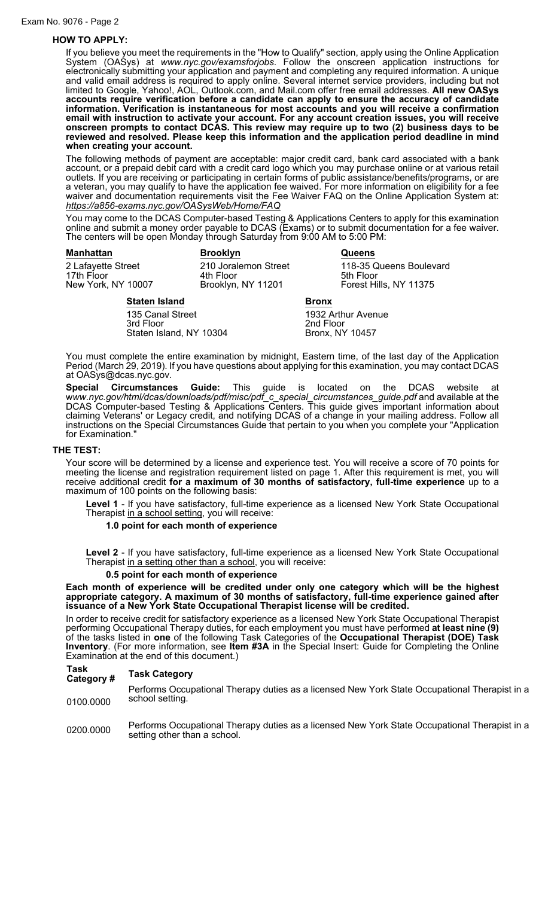# **HOW TO APPLY:**

If you believe you meet the requirements in the "How to Qualify" section, apply using the Online Application System (OASys) at *www.nyc.gov/examsforjobs*. Follow the onscreen application instructions for electronically submitting your application and payment and completing any required information. A unique and valid email address is required to apply online. Several internet service providers, including but not limited to Google, Yahoo!, AOL, Outlook.com, and Mail.com offer free email addresses. **All new OASys accounts require verification before a candidate can apply to ensure the accuracy of candidate information. Verification is instantaneous for most accounts and you will receive a confirmation email with instruction to activate your account. For any account creation issues, you will receive onscreen prompts to contact DCAS. This review may require up to two (2) business days to be reviewed and resolved. Please keep this information and the application period deadline in mind when creating your account.**

The following methods of payment are acceptable: major credit card, bank card associated with a bank account, or a prepaid debit card with a credit card logo which you may purchase online or at various retail outlets. If you are receiving or participating in certain forms of public assistance/benefits/programs, or are a veteran, you may qualify to have the application fee waived. For more information on eligibility for a fee waiver and documentation requirements visit the Fee Waiver FAQ on the Online Application System at: *https://a856-exams.nyc.gov/OASysWeb/Home/FAQ*

You may come to the DCAS Computer-based Testing & Applications Centers to apply for this examination online and submit a money order payable to DCAS (Exams) or to submit documentation for a fee waiver. The centers will be open Monday through Saturday from 9:00 AM to 5:00 PM:

| Manhattan                                              | <b>Brooklyn</b>                                         |              | Queens                                                         |
|--------------------------------------------------------|---------------------------------------------------------|--------------|----------------------------------------------------------------|
| 2 Lafayette Street<br>17th Floor<br>New York, NY 10007 | 210 Joralemon Street<br>4th Floor<br>Brooklyn, NY 11201 |              | 118-35 Queens Boulevard<br>5th Floor<br>Forest Hills, NY 11375 |
| <b>Staten Island</b>                                   |                                                         | <b>Bronx</b> |                                                                |

135 Canal Street 1932 Arthur Avenue<br>1932 Arthur Avenue<br>1947 2nd Floor Staten Island, NY 10304

2nd Floor<br>Bronx, NY 10457

You must complete the entire examination by midnight, Eastern time, of the last day of the Application Period (March 29, 2019). If you have questions about applying for this examination, you may contact DCAS at OASys@dcas.nyc.gov.

**Special Circumstances Guide:** This guide is located on the DCAS website at w*ww.nyc.gov/html/dcas/downloads/pdf/misc/pdf\_c\_special\_circumstances\_guide.pdf* and available at the DCAS Computer-based Testing & Applications Centers. This guide gives important information about claiming Veterans' or Legacy credit, and notifying DCAS of a change in your mailing address. Follow all instructions on the Special Circumstances Guide that pertain to you when you complete your "Application for Examination."

#### **THE TEST:**

Your score will be determined by a license and experience test. You will receive a score of 70 points for meeting the license and registration requirement listed on page 1. After this requirement is met, you will receive additional credit **for a maximum of 30 months of satisfactory, full-time experience** up to a maximum of 100 points on the following basis:

**Level 1** - If you have satisfactory, full-time experience as a licensed New York State Occupational Therapist in a school setting, you will receive:

**1.0 point for each month of experience**

**Level 2** - If you have satisfactory, full-time experience as a licensed New York State Occupational Therapist in a setting other than a school, you will receive:

# **0.5 point for each month of experience**

**Each month of experience will be credited under only one category which will be the highest appropriate category. A maximum of 30 months of satisfactory, full-time experience gained after issuance of a New York State Occupational Therapist license will be credited.**

In order to receive credit for satisfactory experience as a licensed New York State Occupational Therapist performing Occupational Therapy duties, for each employment you must have performed **at least nine (9)** of the tasks listed in **one** of the following Task Categories of the **Occupational Therapist (DOE) Task Inventory**. (For more information, see **Item #3A** in the Special Insert: Guide for Completing the Online Examination at the end of this document.)

#### **Task Category # Task Category**

0100.0000 Performs Occupational Therapy duties as a licensed New York State Occupational Therapist in a school setting.

0200.0000 Performs Occupational Therapy duties as a licensed New York State Occupational Therapist in a setting other than a school.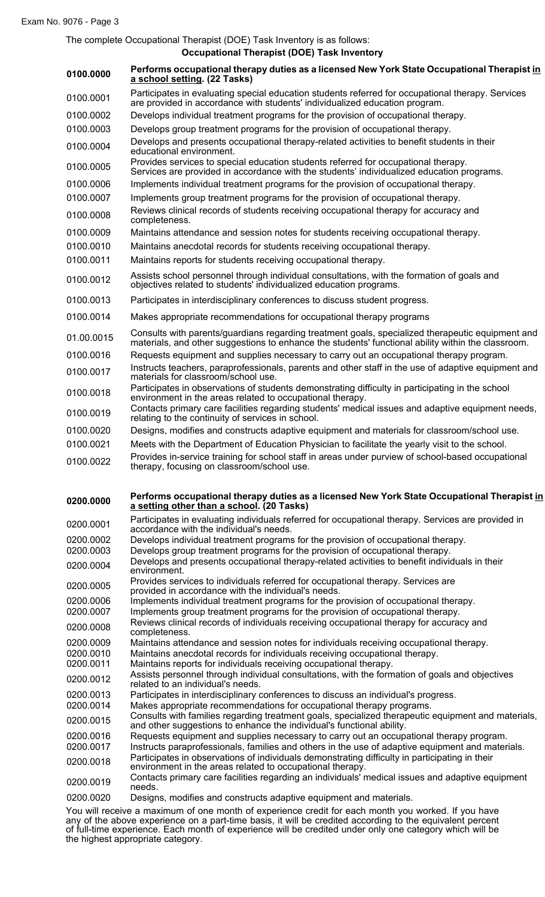The complete Occupational Therapist (DOE) Task Inventory is as follows:

**Occupational Therapist (DOE) Task Inventory**

|                        | Occupational Therapist (DOE) Task Inventory                                                                                                                                                            |
|------------------------|--------------------------------------------------------------------------------------------------------------------------------------------------------------------------------------------------------|
| 0100.0000              | Performs occupational therapy duties as a licensed New York State Occupational Therapist in<br>a school setting. (22 Tasks)                                                                            |
| 0100.0001              | Participates in evaluating special education students referred for occupational therapy. Services<br>are provided in accordance with students' individualized education program.                       |
| 0100.0002              | Develops individual treatment programs for the provision of occupational therapy.                                                                                                                      |
| 0100.0003              | Develops group treatment programs for the provision of occupational therapy.                                                                                                                           |
| 0100.0004              | Develops and presents occupational therapy-related activities to benefit students in their<br>educational environment.                                                                                 |
| 0100.0005              | Provides services to special education students referred for occupational therapy.<br>Services are provided in accordance with the students' individualized education programs.                        |
| 0100.0006              | Implements individual treatment programs for the provision of occupational therapy.                                                                                                                    |
| 0100.0007              | Implements group treatment programs for the provision of occupational therapy.                                                                                                                         |
| 0100.0008              | Reviews clinical records of students receiving occupational therapy for accuracy and<br>completeness.                                                                                                  |
| 0100.0009              | Maintains attendance and session notes for students receiving occupational therapy.                                                                                                                    |
| 0100.0010              | Maintains anecdotal records for students receiving occupational therapy.                                                                                                                               |
| 0100.0011              | Maintains reports for students receiving occupational therapy.                                                                                                                                         |
| 0100.0012              | Assists school personnel through individual consultations, with the formation of goals and<br>objectives related to students' individualized education programs.                                       |
| 0100.0013              | Participates in interdisciplinary conferences to discuss student progress.                                                                                                                             |
| 0100.0014              | Makes appropriate recommendations for occupational therapy programs                                                                                                                                    |
| 01.00.0015             | Consults with parents/guardians regarding treatment goals, specialized therapeutic equipment and<br>materials, and other suggestions to enhance the students' functional ability within the classroom. |
| 0100.0016              | Requests equipment and supplies necessary to carry out an occupational therapy program.                                                                                                                |
| 0100.0017              | Instructs teachers, paraprofessionals, parents and other staff in the use of adaptive equipment and<br>materials for classroom/school use.                                                             |
| 0100.0018              | Participates in observations of students demonstrating difficulty in participating in the school<br>environment in the areas related to occupational therapy.                                          |
| 0100.0019              | Contacts primary care facilities regarding students' medical issues and adaptive equipment needs,<br>relating to the continuity of services in school.                                                 |
| 0100.0020              | Designs, modifies and constructs adaptive equipment and materials for classroom/school use.                                                                                                            |
| 0100.0021              | Meets with the Department of Education Physician to facilitate the yearly visit to the school.                                                                                                         |
| 0100.0022              | Provides in-service training for school staff in areas under purview of school-based occupational<br>therapy, focusing on classroom/school use.                                                        |
| 0200.0000              | Performs occupational therapy duties as a licensed New York State Occupational Therapist in<br>a setting other than a school. (20 Tasks)                                                               |
| 0200.0001              | Participates in evaluating individuals referred for occupational therapy. Services are provided in<br>accordance with the individual's needs.                                                          |
| 0200.0002              | Develops individual treatment programs for the provision of occupational therapy.                                                                                                                      |
| 0200.0003              | Develops group treatment programs for the provision of occupational therapy.<br>Develops and presents occupational therapy-related activities to benefit individuals in their                          |
| 0200.0004              | environment.<br>Provides services to individuals referred for occupational therapy. Services are                                                                                                       |
| 0200.0005              | provided in accordance with the individual's needs.                                                                                                                                                    |
| 0200.0006<br>0200.0007 | Implements individual treatment programs for the provision of occupational therapy.<br>Implements group treatment programs for the provision of occupational therapy.                                  |
| 0200.0008              | Reviews clinical records of individuals receiving occupational therapy for accuracy and<br>completeness.                                                                                               |
| 0200.0009<br>0200.0010 | Maintains attendance and session notes for individuals receiving occupational therapy.<br>Maintains anecdotal records for individuals receiving occupational therapy.                                  |
| 0200.0011              | Maintains reports for individuals receiving occupational therapy.                                                                                                                                      |
| 0200.0012              | Assists personnel through individual consultations, with the formation of goals and objectives<br>related to an individual's needs.                                                                    |
| 0200.0013              | Participates in interdisciplinary conferences to discuss an individual's progress.                                                                                                                     |
| 0200.0014              | Makes appropriate recommendations for occupational therapy programs.<br>Consults with families regarding treatment goals, specialized therapeutic equipment and materials,                             |
| 0200.0015              | and other suggestions to enhance the individual's functional ability.                                                                                                                                  |
| 0200.0016<br>0200.0017 | Requests equipment and supplies necessary to carry out an occupational therapy program.<br>Instructs paraprofessionals, families and others in the use of adaptive equipment and materials.            |
| 0200.0018              | Participates in observations of individuals demonstrating difficulty in participating in their<br>environment in the areas related to occupational therapy.                                            |
| 0200.0019              | Contacts primary care facilities regarding an individuals' medical issues and adaptive equipment                                                                                                       |
| 0200.0020              | needs.<br>Designs, modifies and constructs adaptive equipment and materials.                                                                                                                           |
|                        |                                                                                                                                                                                                        |

You will receive a maximum of one month of experience credit for each month you worked. If you have any of the above experience on a part-time basis, it will be credited according to the equivalent percent of full-time experience. Each month of experience will be credited under only one category which will be the highest appropriate category.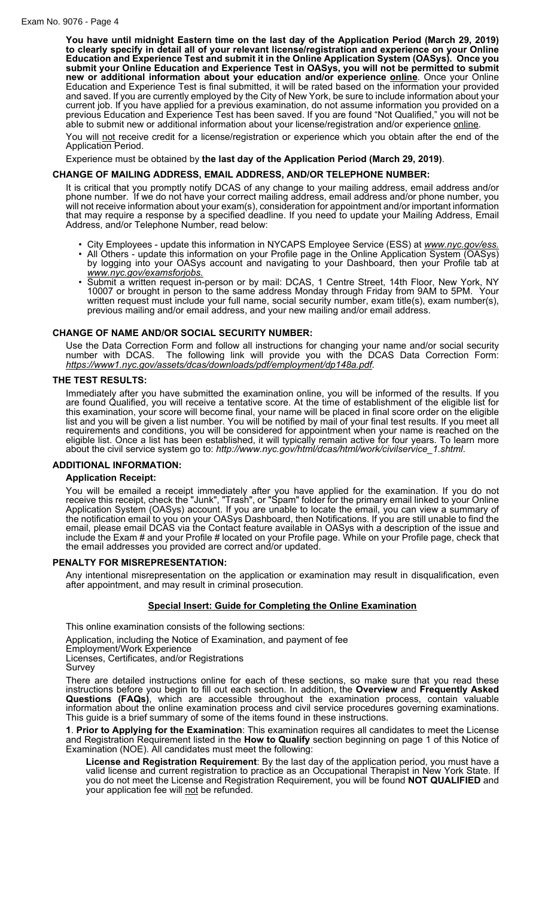**You have until midnight Eastern time on the last day of the Application Period (March 29, 2019) to clearly specify in detail all of your relevant license/registration and experience on your Online Education and Experience Test and submit it in the Online Application System (OASys). Once you submit your Online Education and Experience Test in OASys, you will not be permitted to submit new or additional information about your education and/or experience online**. Once your Online Education and Experience Test is final submitted, it will be rated based on the information your provided and saved. If you are currently employed by the City of New York, be sure to include information about your current job. If you have applied for a previous examination, do not assume information you provided on a previous Education and Experience Test has been saved. If you are found "Not Qualified," you will not be able to submit new or additional information about your license/registration and/or experience online.

You will not receive credit for a license/registration or experience which you obtain after the end of the Application Period.

Experience must be obtained by **the last day of the Application Period (March 29, 2019)**.

## **CHANGE OF MAILING ADDRESS, EMAIL ADDRESS, AND/OR TELEPHONE NUMBER:**

It is critical that you promptly notify DCAS of any change to your mailing address, email address and/or phone number. If we do not have your correct mailing address, email address and/or phone number, you will not receive information about your exam(s), consideration for appointment and/or important information that may require a response by a specified deadline. If you need to update your Mailing Address, Email Address, and/or Telephone Number, read below:

- City Employees update this information in NYCAPS Employee Service (ESS) at *www.nyc.gov/ess.*
- All Others update this information on your Profile page in the Online Application System (OASys) by logging into your OASys account and navigating to your Dashboard, then your Profile tab at *www.nyc.gov/examsforjobs.*
- Submit a written request in-person or by mail: DCAS, 1 Centre Street, 14th Floor, New York, NY 10007 or brought in person to the same address Monday through Friday from 9AM to 5PM. Your written request must include your full name, social security number, exam title(s), exam number(s), previous mailing and/or email address, and your new mailing and/or email address.

# **CHANGE OF NAME AND/OR SOCIAL SECURITY NUMBER:**

Use the Data Correction Form and follow all instructions for changing your name and/or social security number with DCAS. The following link will provide you with the DCAS Data Correction Form: *https://www1.nyc.gov/assets/dcas/downloads/pdf/employment/dp148a.pdf*.

## **THE TEST RESULTS:**

Immediately after you have submitted the examination online, you will be informed of the results. If you are found Qualified, you will receive a tentative score. At the time of establishment of the eligible list for this examination, your score will become final, your name will be placed in final score order on the eligible list and you will be given a list number. You will be notified by mail of your final test results. If you meet all requirements and conditions, you will be considered for appointment when your name is reached on the eligible list. Once a list has been established, it will typically remain active for four years. To learn more about the civil service system go to: *http://www.nyc.gov/html/dcas/html/work/civilservice\_1.shtml*.

# **ADDITIONAL INFORMATION:**

#### **Application Receipt:**

You will be emailed a receipt immediately after you have applied for the examination. If you do not receive this receipt, check the "Junk", "Trash", or "Spam" folder for the primary email linked to your Online Application System (OASys) account. If you are unable to locate the email, you can view a summary of the notification email to you on your OASys Dashboard, then Notifications. If you are still unable to find the email, please email DCAS via the Contact feature available in OASys with a description of the issue and include the Exam # and your Profile # located on your Profile page. While on your Profile page, check that the email addresses you provided are correct and/or updated.

#### **PENALTY FOR MISREPRESENTATION:**

Any intentional misrepresentation on the application or examination may result in disqualification, even after appointment, and may result in criminal prosecution.

# **Special Insert: Guide for Completing the Online Examination**

This online examination consists of the following sections:

Application, including the Notice of Examination, and payment of fee

Employment/Work Experience

Licenses, Certificates, and/or Registrations

Survey

There are detailed instructions online for each of these sections, so make sure that you read these instructions before you begin to fill out each section. In addition, the **Overview** and **Frequently Asked Questions (FAQs)**, which are accessible throughout the examination process, contain valuable information about the online examination process and civil service procedures governing examinations. This guide is a brief summary of some of the items found in these instructions.

**1**. **Prior to Applying for the Examination**: This examination requires all candidates to meet the License and Registration Requirement listed in the **How to Qualify** section beginning on page 1 of this Notice of Examination (NOE). All candidates must meet the following:

**License and Registration Requirement**: By the last day of the application period, you must have a valid license and current registration to practice as an Occupational Therapist in New York State. If you do not meet the License and Registration Requirement, you will be found **NOT QUALIFIED** and your application fee will not be refunded.